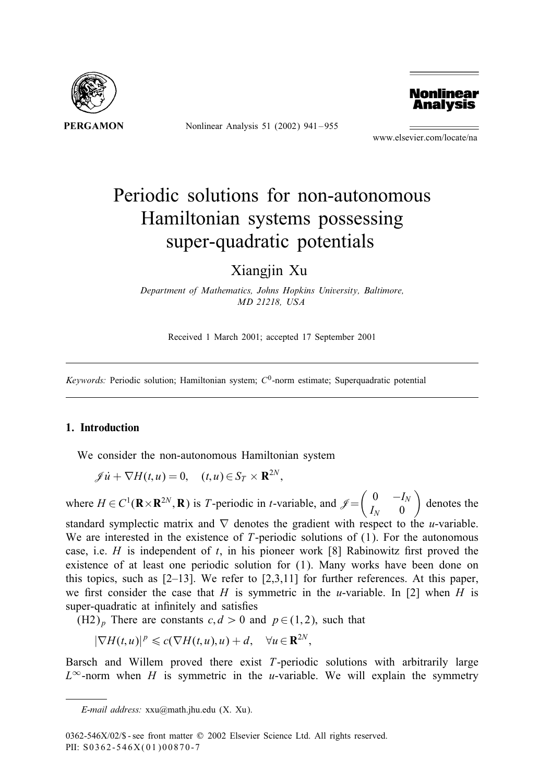

Nonlinear Analysis 51 (2002) 941 – 955



www.elsevier.com/locate/na

# Periodic solutions for non-autonomous Hamiltonian systems possessing super-quadratic potentials

Xiangjin Xu

*Department of Mathematics, Johns Hopkins University, Baltimore, MD 21218, USA*

Received 1 March 2001; accepted 17 September 2001

*Keywords:* Periodic solution; Hamiltonian system;  $C<sup>0</sup>$ -norm estimate; Superquadratic potential

### 1. Introduction

We consider the non-autonomous Hamiltonian system

$$
\mathscr{J}\dot{u} + \nabla H(t, u) = 0, \quad (t, u) \in S_T \times \mathbf{R}^{2N},
$$

where  $H \in C^1(\mathbf{R} \times \mathbf{R}^{2N}, \mathbf{R})$  is T-periodic in t-variable, and  $\mathcal{J} = \begin{pmatrix} 0 & -I_N \\ I_N & 0 \end{pmatrix}$  $I_N$  0 - denotes the standard symplectic matrix and  $\nabla$  denotes the gradient with respect to the *u*-variable. We are interested in the existence of  $T$ -periodic solutions of  $(1)$ . For the autonomous case, i.e.  $H$  is independent of  $t$ , in his pioneer work [8] Rabinowitz first proved the existence of at least one periodic solution for (1). Many works have been done on this topics, such as  $[2-13]$ . We refer to  $[2,3,11]$  for further references. At this paper, we first consider the case that H is symmetric in the u-variable. In [2] when H is super-quadratic at infinitely and satisfies

 $(H2)_p$  There are constants  $c, d > 0$  and  $p \in (1, 2)$ , such that

 $|\nabla H(t, u)|^p \leqslant c(\nabla H(t, u), u) + d, \quad \forall u \in \mathbf{R}^{2N},$ 

Barsch and Willem proved there exist T-periodic solutions with arbitrarily large  $L^{\infty}$ -norm when H is symmetric in the u-variable. We will explain the symmetry

*E-mail address:* xxu@math.jhu.edu (X. Xu).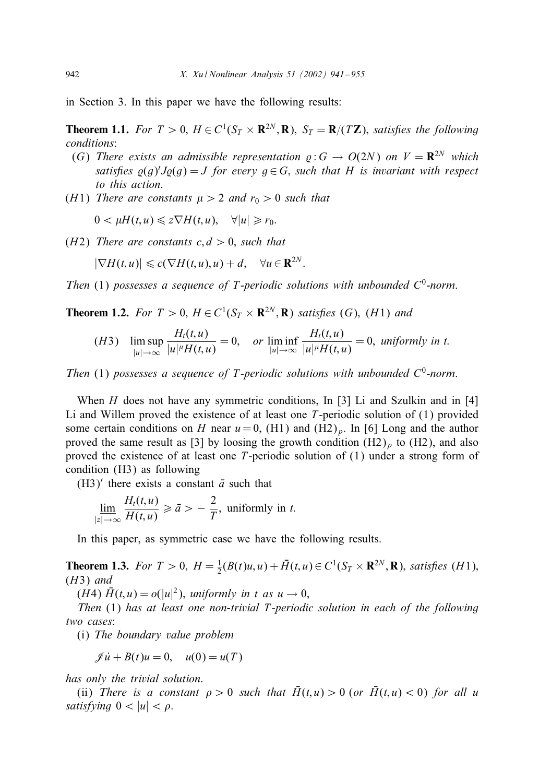in Section 3. In this paper we have the following results:

**Theorem 1.1.** *For*  $T > 0$ ,  $H \in C^1(S_T \times \mathbb{R}^{2N}, \mathbb{R})$ ,  $S_T = \mathbb{R}/(T\mathbb{Z})$ , *satisfies the following conditions*:

- (G) There exists an admissible representation  $\rho: G \to O(2N)$  on  $V = \mathbb{R}^{2N}$  which *satisfies*  $\varrho(g)^t J \varrho(g) = J$  *for every*  $g \in G$ *, such that* H *is invariant with respect to this action*.
- (*H*1) *There are constants*  $\mu > 2$  *and*  $r_0 > 0$  *such that*

 $0 < \mu H(t, u) \leq z \nabla H(t, u), \quad \forall |u| \geq r_0.$ 

( $H2$ ) *There are constants c*,  $d > 0$ , *such that* 

$$
|\nabla H(t, u)| \leq c(\nabla H(t, u), u) + d, \quad \forall u \in \mathbf{R}^{2N}.
$$

*Then* (1) *possesses a sequence of T-periodic solutions with unbounded*  $C^0$ -norm.

**Theorem 1.2.** For  $T > 0$ ,  $H \in C^1(S_T \times \mathbf{R}^{2N}, \mathbf{R})$  *satisfies* (G), (H1) *and* 

$$
(H3) \quad \limsup_{|u|\to\infty} \frac{H_t(t,u)}{|u|^{\mu}H(t,u)} = 0, \quad \text{or } \liminf_{|u|\to\infty} \frac{H_t(t,u)}{|u|^{\mu}H(t,u)} = 0, \text{ uniformly in } t.
$$

*Then* (1) *possesses a sequence of T-periodic solutions with unbounded*  $C^0$ -norm.

When H does not have any symmetric conditions, In [3] Li and Szulkin and in [4] Li and Willem proved the existence of at least one  $T$ -periodic solution of  $(1)$  provided some certain conditions on H near  $u = 0$ , (H1) and (H2)<sub>p</sub>. In [6] Long and the author proved the same result as [3] by loosing the growth condition  $(H2)_p$  to  $(H2)$ , and also proved the existence of at least one T-periodic solution of (1) under a strong form of condition (H3) as following

(H3)<sup> $\prime$ </sup> there exists a constant  $\bar{a}$  such that

$$
\lim_{|z|\to\infty}\frac{H_t(t,u)}{H(t,u)}\geqslant \bar{a}>-\frac{2}{T},\text{ uniformly in }t.
$$

In this paper, as symmetric case we have the following results.

**Theorem 1.3.** *For*  $T > 0$ ,  $H = \frac{1}{2}(B(t)u, u) + \bar{H}(t, u) \in C^1(S_T \times \mathbb{R}^{2N}, \mathbb{R})$ , *satisfies* (*H*1), (H3) *and*

(*H*4)  $\bar{H}(t, u) = o(|u|^2)$ , *uniformly in t as*  $u \to 0$ ,

*Then* (1) *has at least one non-trivial* T-*periodic solution in each of the following two cases*:

(i) *The boundary value problem*

$$
\mathscr{J}\dot{u} + B(t)u = 0, \quad u(0) = u(T)
$$

*has only the trivial solution*.

(ii) *There is a constant*  $\rho > 0$  *such that*  $\overline{H}(t, u) > 0$  (*or*  $\overline{H}(t, u) < 0$ ) *for all u satisfying*  $0 < |u| < \rho$ .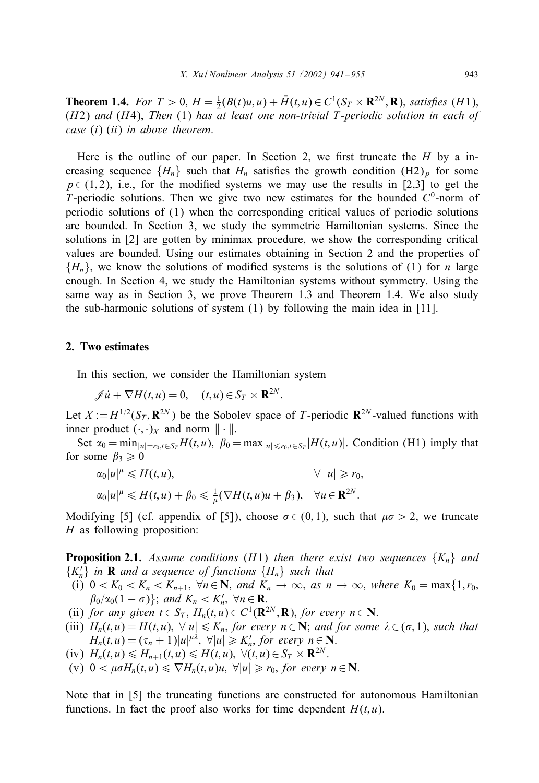**Theorem 1.4.** *For*  $T > 0$ ,  $H = \frac{1}{2}(B(t)u, u) + \bar{H}(t, u) \in C^1(S_T \times \mathbb{R}^{2N}, \mathbb{R})$ , *satisfies* (*H*1), (H2) *and* (H4); *Then* (1) *has at least one non-trivial* T-*periodic solution in each of case* (i) (ii) *in above theorem*.

Here is the outline of our paper. In Section 2, we first truncate the  $H$  by a increasing sequence  $\{H_n\}$  such that  $H_n$  satisfies the growth condition  $(H_2)_p$  for some  $p \in (1, 2)$ , i.e., for the modified systems we may use the results in [2,3] to get the T-periodic solutions. Then we give two new estimates for the bounded  $C^0$ -norm of periodic solutions of (1) when the corresponding critical values of periodic solutions are bounded. In Section 3, we study the symmetric Hamiltonian systems. Since the solutions in [2] are gotten by minimax procedure, we show the corresponding critical values are bounded. Using our estimates obtaining in Section 2 and the properties of  $\{H_n\}$ , we know the solutions of modified systems is the solutions of (1) for *n* large enough. In Section 4, we study the Hamiltonian systems without symmetry. Using the same way as in Section 3, we prove Theorem 1.3 and Theorem 1.4. We also study the sub-harmonic solutions of system (1) by following the main idea in [11].

## 2. Two estimates

In this section, we consider the Hamiltonian system

$$
\mathscr{J}\dot{u} + \nabla H(t, u) = 0, \quad (t, u) \in S_T \times \mathbf{R}^{2N}.
$$

Let  $X := H^{1/2}(S_T, \mathbf{R}^{2N})$  be the Sobolev space of T-periodic  $\mathbf{R}^{2N}$ -valued functions with inner product  $(\cdot, \cdot)_X$  and norm  $\|\cdot\|$ .

Set  $\alpha_0 = \min_{|u|=r_0,t \in S_T} H(t,u)$ ,  $\beta_0 = \max_{|u| \le r_0,t \in S_T} |H(t,u)|$ . Condition (H1) imply that for some  $\beta_3 \geq 0$ 

$$
\alpha_0|u|^\mu \leq H(t,u), \qquad \forall |u| \geq r_0,
$$
  
\n
$$
\alpha_0|u|^\mu \leq H(t,u) + \beta_0 \leq \frac{1}{\mu}(\nabla H(t,u)u + \beta_3), \quad \forall u \in \mathbf{R}^{2N}.
$$

Modifying [5] (cf. appendix of [5]), choose  $\sigma \in (0, 1)$ , such that  $\mu \sigma > 2$ , we truncate  $H$  as following proposition:

**Proposition 2.1.** *Assume conditions* (*H1*) *then there exist two sequences*  $\{K_n\}$  *and*  ${K'_n}$  *in* **R** *and a sequence of functions*  ${H_n}$  *such that* 

- (i)  $0 < K_0 < K_n < K_{n+1}$ ,  $\forall n \in \mathbb{N}$ , and  $K_n \to \infty$ , as  $n \to \infty$ , where  $K_0 = \max\{1, r_0,$  $\beta_0/\alpha_0(1-\sigma)$ ; and  $K_n < K'_n$ ,  $\forall n \in \mathbf{R}$ .
- (ii) *for any given*  $t \in S_T$ ,  $H_n(t, u) \in C^1(\mathbf{R}^{2N}, \mathbf{R})$ , *for every*  $n \in \mathbf{N}$ .
- (iii)  $H_n(t, u) = H(t, u)$ ,  $\forall |u| \leq K_n$ , *for every*  $n \in \mathbb{N}$ ; *and for some*  $\lambda \in (\sigma, 1)$ *, such that*  $H_n(t, u) = (\tau_n + 1)|u|^{\mu\lambda}, \ \forall |u| \geq K'_n$ , for every  $n \in \mathbb{N}$ .
- (iv)  $H_n(t, u) \leq H_{n+1}(t, u) \leq H(t, u), \ \forall (t, u) \in S_T \times \mathbf{R}^{2N}$ .
- (v)  $0 < \mu \sigma H_n(t, u) \leq \nabla H_n(t, u)u, \forall |u| \geq r_0$ , for every  $n \in \mathbb{N}$ .

Note that in [5] the truncating functions are constructed for autonomous Hamiltonian functions. In fact the proof also works for time dependent  $H(t, u)$ .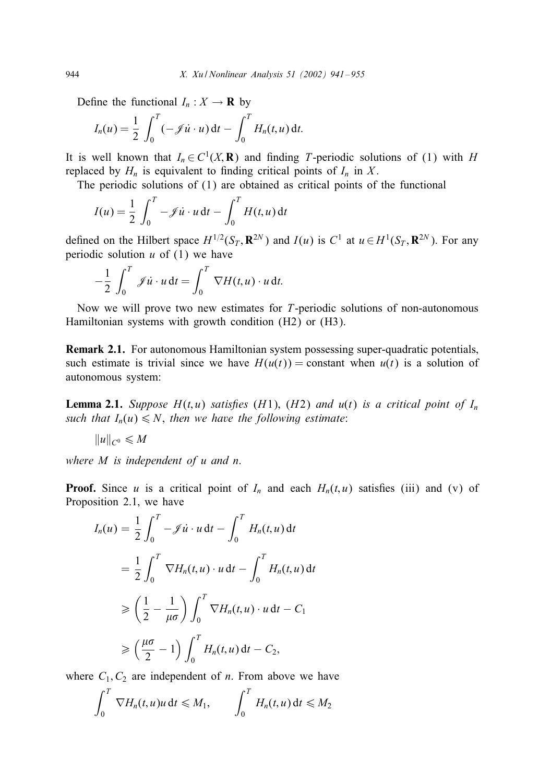Define the functional  $I_n : X \to \mathbf{R}$  by

$$
I_n(u) = \frac{1}{2} \int_0^T (-\mathcal{J} \dot{u} \cdot u) dt - \int_0^T H_n(t, u) dt.
$$

It is well known that  $I_n \in C^1(X,\mathbf{R})$  and finding T-periodic solutions of (1) with H replaced by  $H_n$  is equivalent to finding critical points of  $I_n$  in X.

The periodic solutions of (1) are obtained as critical points of the functional

$$
I(u) = \frac{1}{2} \int_0^T -\mathcal{J}\dot{u} \cdot u \, dt - \int_0^T H(t, u) \, dt
$$

defined on the Hilbert space  $H^{1/2}(S_T, \mathbf{R}^{2N})$  and  $I(u)$  is  $C^1$  at  $u \in H^1(S_T, \mathbf{R}^{2N})$ . For any periodic solution  $u$  of (1) we have

$$
-\frac{1}{2}\int_0^T \mathscr{J}\dot{u} \cdot u \, \mathrm{d}t = \int_0^T \nabla H(t, u) \cdot u \, \mathrm{d}t.
$$

Now we will prove two new estimates for T-periodic solutions of non-autonomous Hamiltonian systems with growth condition (H2) or (H3).

Remark 2.1. For autonomous Hamiltonian system possessing super-quadratic potentials; such estimate is trivial since we have  $H(u(t)) =$  constant when  $u(t)$  is a solution of autonomous system:

**Lemma 2.1.** *Suppose*  $H(t, u)$  *satisfies* ( $H1$ ), ( $H2$ ) *and*  $u(t)$  *is a critical point of*  $I_n$ *such that*  $I_n(u) \leq N$ , *then we have the following estimate*:

$$
||u||_{C^0} \leq M
$$

*where* M *is independent of* u *and* n.

**Proof.** Since u is a critical point of  $I_n$  and each  $H_n(t, u)$  satisfies (iii) and (v) of Proposition 2.1; we have

$$
I_n(u) = \frac{1}{2} \int_0^T -\mathcal{J}u \cdot u \, dt - \int_0^T H_n(t, u) \, dt
$$
  

$$
= \frac{1}{2} \int_0^T \nabla H_n(t, u) \cdot u \, dt - \int_0^T H_n(t, u) \, dt
$$
  

$$
\geq \left(\frac{1}{2} - \frac{1}{\mu \sigma}\right) \int_0^T \nabla H_n(t, u) \cdot u \, dt - C_1
$$
  

$$
\geq \left(\frac{\mu \sigma}{2} - 1\right) \int_0^T H_n(t, u) \, dt - C_2,
$$

where  $C_1, C_2$  are independent of *n*. From above we have

$$
\int_0^T \nabla H_n(t, u)u \, \mathrm{d}t \leq M_1, \qquad \int_0^T H_n(t, u) \, \mathrm{d}t \leq M_2
$$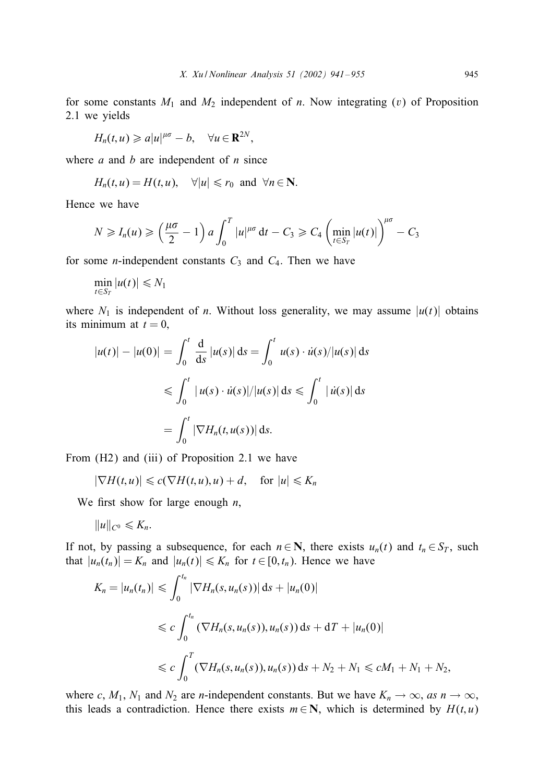for some constants  $M_1$  and  $M_2$  independent of n. Now integrating (v) of Proposition 2.1 we yields

$$
H_n(t,u)\geqslant a|u|^{\mu\sigma}-b,\quad \forall u\in\mathbf{R}^{2N},
$$

where  $a$  and  $b$  are independent of  $n$  since

$$
H_n(t, u) = H(t, u), \quad \forall |u| \le r_0 \text{ and } \forall n \in \mathbb{N}.
$$

Hence we have

$$
N \ge I_n(u) \ge \left(\frac{\mu\sigma}{2} - 1\right) a \int_0^T |u|^{\mu\sigma} dt - C_3 \ge C_4 \left(\min_{t \in S_T} |u(t)|\right)^{\mu\sigma} - C_3
$$

for some *n*-independent constants  $C_3$  and  $C_4$ . Then we have

$$
\min_{t\in S_T} |u(t)| \leq N_1
$$

where  $N_1$  is independent of n. Without loss generality, we may assume  $|u(t)|$  obtains its minimum at  $t = 0$ ,

$$
|u(t)| - |u(0)| = \int_0^t \frac{d}{ds} |u(s)| ds = \int_0^t u(s) \cdot \dot{u}(s) / |u(s)| ds
$$
  
\n
$$
\leq \int_0^t |u(s) \cdot \dot{u}(s)| / |u(s)| ds \leq \int_0^t |u(s)| ds
$$
  
\n
$$
= \int_0^t |\nabla H_n(t, u(s))| ds.
$$

From (H2) and (iii) of Proposition 2.1 we have

$$
|\nabla H(t, u)| \leq c(\nabla H(t, u), u) + d, \quad \text{for } |u| \leq K_n
$$

We first show for large enough  $n$ ,

$$
||u||_{C^0}\leqslant K_n.
$$

If not, by passing a subsequence, for each  $n \in \mathbb{N}$ , there exists  $u_n(t)$  and  $t_n \in S_T$ , such that  $|u_n(t_n)| = K_n$  and  $|u_n(t)| \le K_n$  for  $t \in [0, t_n)$ . Hence we have

$$
K_n = |u_n(t_n)| \leq \int_0^{t_n} |\nabla H_n(s, u_n(s))| ds + |u_n(0)|
$$
  
\n
$$
\leq c \int_0^{t_n} (\nabla H_n(s, u_n(s)), u_n(s)) ds + dT + |u_n(0)|
$$
  
\n
$$
\leq c \int_0^T (\nabla H_n(s, u_n(s)), u_n(s)) ds + N_2 + N_1 \leq cM_1 + N_1 + N_2,
$$

where c,  $M_1$ ,  $N_1$  and  $N_2$  are *n*-independent constants. But we have  $K_n \to \infty$ , as  $n \to \infty$ , this leads a contradiction. Hence there exists  $m \in \mathbb{N}$ , which is determined by  $H(t, u)$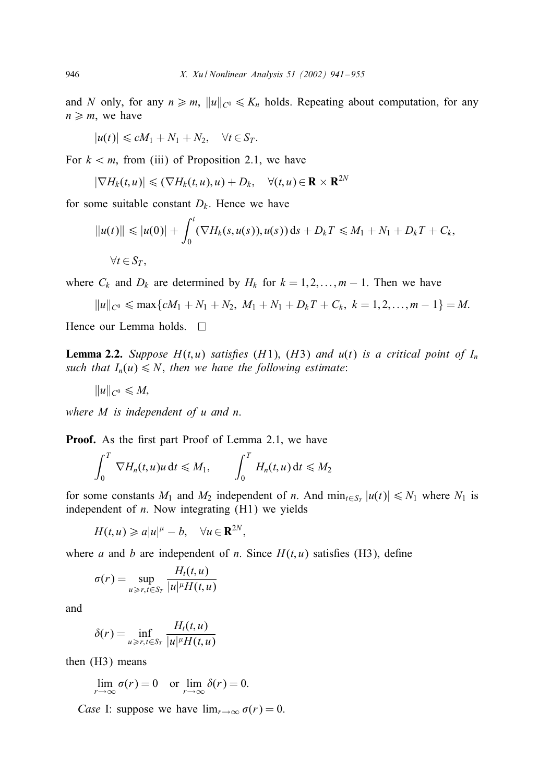and N only, for any  $n \ge m$ ,  $||u||_{C^0} \le K_n$  holds. Repeating about computation, for any  $n \geq m$ , we have

$$
|u(t)| \leq cM_1 + N_1 + N_2, \quad \forall t \in S_T.
$$

For  $k < m$ , from (iii) of Proposition 2.1, we have

$$
|\nabla H_k(t, u)| \leqslant (\nabla H_k(t, u), u) + D_k, \quad \forall (t, u) \in \mathbf{R} \times \mathbf{R}^{2N}
$$

for some suitable constant  $D_k$ . Hence we have

$$
||u(t)|| \le |u(0)| + \int_0^t (\nabla H_k(s, u(s)), u(s)) ds + D_k T \le M_1 + N_1 + D_k T + C_k,
$$
  

$$
\forall t \in S_T,
$$

where  $C_k$  and  $D_k$  are determined by  $H_k$  for  $k = 1, 2, \ldots, m - 1$ . Then we have

$$
||u||_{C^0} \leqslant \max\{cM_1 + N_1 + N_2, M_1 + N_1 + D_kT + C_k, k = 1, 2, ..., m - 1\} = M.
$$

Hence our Lemma holds.  $\square$ 

**Lemma 2.2.** *Suppose*  $H(t, u)$  *satisfies* ( $H1$ ), ( $H3$ ) *and*  $u(t)$  *is a critical point of*  $I_n$ *such that*  $I_n(u) \leq N$ , *then we have the following estimate*:

$$
||u||_{C^0}\leqslant M,
$$

*where* M *is independent of* u *and* n.

Proof. As the first part Proof of Lemma 2.1, we have

$$
\int_0^T \nabla H_n(t, u)u \, \mathrm{d}t \leq M_1, \qquad \int_0^T H_n(t, u) \, \mathrm{d}t \leq M_2
$$

for some constants  $M_1$  and  $M_2$  independent of n. And  $\min_{t \in S_T} |u(t)| \le N_1$  where  $N_1$  is independent of  $n$ . Now integrating  $(H1)$  we yields

$$
H(t, u) \geqslant a|u|^{\mu} - b, \quad \forall u \in \mathbf{R}^{2N},
$$

where a and b are independent of n. Since  $H(t, u)$  satisfies (H3), define

$$
\sigma(r) = \sup_{u \ge r, t \in S_T} \frac{H_t(t, u)}{|u|^{\mu} H(t, u)}
$$

and

$$
\delta(r) = \inf_{u \ge r, t \in S_T} \frac{H_t(t, u)}{|u|^{\mu} H(t, u)}
$$

then (H3) means

$$
\lim_{r \to \infty} \sigma(r) = 0 \quad \text{or} \lim_{r \to \infty} \delta(r) = 0.
$$

*Case* I: suppose we have  $\lim_{r \to \infty} \sigma(r) = 0$ .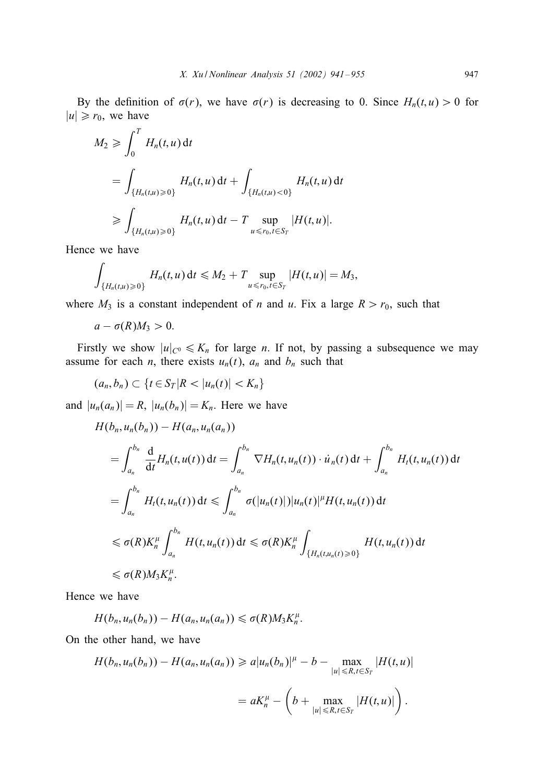By the definition of  $\sigma(r)$ , we have  $\sigma(r)$  is decreasing to 0. Since  $H_n(t, u) > 0$  for  $|u| \ge r_0$ , we have

$$
M_2 \ge \int_0^T H_n(t, u) dt
$$
  
=  $\int_{\{H_n(t, u) \ge 0\}} H_n(t, u) dt + \int_{\{H_n(t, u) < 0\}} H_n(t, u) dt$   
 $\ge \int_{\{H_n(t, u) \ge 0\}} H_n(t, u) dt - T \sup_{u \le r_0, t \in S_T} |H(t, u)|.$ 

Hence we have

$$
\int_{\{H_n(t,u)\geq 0\}} H_n(t,u) dt \leq M_2 + T \sup_{u \leq r_0, t \in S_T} |H(t,u)| = M_3,
$$

where  $M_3$  is a constant independent of *n* and *u*. Fix a large  $R > r_0$ , such that

$$
a-\sigma(R)M_3>0.
$$

Firstly we show  $|u|_{C^0} \leq K_n$  for large *n*. If not, by passing a subsequence we may assume for each *n*, there exists  $u_n(t)$ ,  $a_n$  and  $b_n$  such that

 $(a_n, b_n) \subset \{t \in S_T | R < |u_n(t)| < K_n\}$ 

and  $|u_n(a_n)| = R$ ,  $|u_n(b_n)| = K_n$ . Here we have

$$
H(b_n, u_n(b_n)) - H(a_n, u_n(a_n))
$$
  
\n
$$
= \int_{a_n}^{b_n} \frac{d}{dt} H_n(t, u(t)) dt = \int_{a_n}^{b_n} \nabla H_n(t, u_n(t)) \cdot \dot{u}_n(t) dt + \int_{a_n}^{b_n} H_t(t, u_n(t)) dt
$$
  
\n
$$
= \int_{a_n}^{b_n} H_t(t, u_n(t)) dt \le \int_{a_n}^{b_n} \sigma(|u_n(t)|) |u_n(t)|^{\mu} H(t, u_n(t)) dt
$$
  
\n
$$
\le \sigma(R) K_n^{\mu} \int_{a_n}^{b_n} H(t, u_n(t)) dt \le \sigma(R) K_n^{\mu} \int_{\{H_n(t, u_n(t)) > 0\}} H(t, u_n(t)) dt
$$
  
\n
$$
\le \sigma(R) M_3 K_n^{\mu}.
$$

Hence we have

$$
H(b_n,u_n(b_n))-H(a_n,u_n(a_n))\leq \sigma(R)M_3K_n^{\mu}.
$$

On the other hand, we have

$$
H(b_n, u_n(b_n)) - H(a_n, u_n(a_n)) \ge a|u_n(b_n)|^{\mu} - b - \max_{|u| \le R, t \in S_T} |H(t, u)|
$$
  
=  $aK_n^{\mu} - \left(b + \max_{|u| \le R, t \in S_T} |H(t, u)|\right).$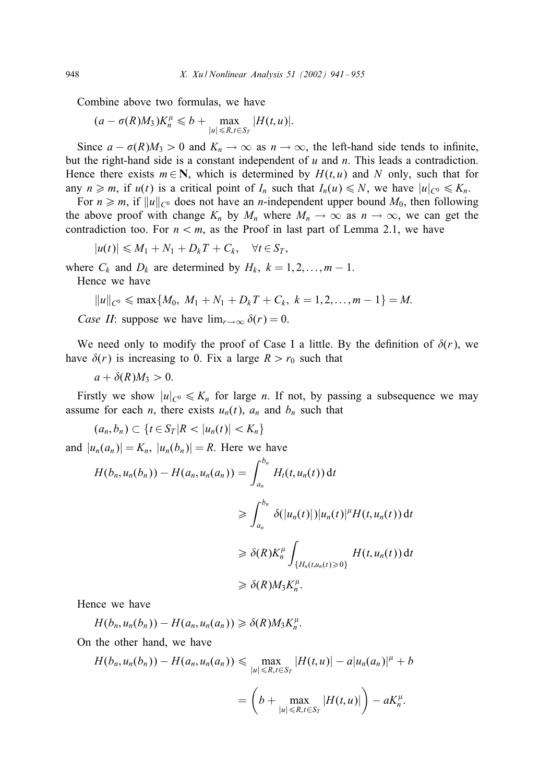Combine above two formulas, we have

$$
(a - \sigma(R)M_3)K_n^{\mu} \leq b + \max_{|u| \leq R, t \in S_T} |H(t, u)|.
$$

Since  $a - \sigma(R)M_3 > 0$  and  $K_n \to \infty$  as  $n \to \infty$ , the left-hand side tends to infinite, but the right-hand side is a constant independent of  $u$  and  $n$ . This leads a contradiction. Hence there exists  $m \in \mathbb{N}$ , which is determined by  $H(t, u)$  and N only, such that for any  $n \ge m$ , if  $u(t)$  is a critical point of  $I_n$  such that  $I_n(u) \le N$ , we have  $|u|_{C^0} \le K_n$ .

For  $n \geq m$ , if  $||u||_{C^0}$  does not have an *n*-independent upper bound  $M_0$ , then following the above proof with change  $K_n$  by  $M_n$  where  $M_n \to \infty$  as  $n \to \infty$ , we can get the contradiction too. For  $n < m$ , as the Proof in last part of Lemma 2.1, we have

$$
|u(t)| \leq M_1 + N_1 + D_k T + C_k, \quad \forall t \in S_T,
$$

where  $C_k$  and  $D_k$  are determined by  $H_k$ ,  $k = 1, 2, \ldots, m - 1$ .

Hence we have

$$
||u||_{C^0} \leqslant \max\{M_0, M_1 + N_1 + D_kT + C_k, k = 1, 2, ..., m - 1\} = M.
$$

*Case II*: suppose we have  $\lim_{r\to\infty} \delta(r) = 0$ .

We need only to modify the proof of Case I a little. By the definition of  $\delta(r)$ , we have  $\delta(r)$  is increasing to 0. Fix a large  $R > r_0$  such that

$$
a+\delta(R)M_3>0.
$$

Firstly we show  $|u|_{C^0} \leq K_n$  for large *n*. If not, by passing a subsequence we may assume for each *n*, there exists  $u_n(t)$ ,  $a_n$  and  $b_n$  such that

 $(a_n, b_n) \subset \{t \in S_T | R < |u_n(t)| < K_n\}$ 

and  $|u_n(a_n)| = K_n$ ,  $|u_n(b_n)| = R$ . Here we have

$$
H(b_n, u_n(b_n)) - H(a_n, u_n(a_n)) = \int_{a_n}^{b_n} H_t(t, u_n(t)) dt
$$
  
\n
$$
\geq \int_{a_n}^{b_n} \delta(|u_n(t)|)|u_n(t)|^{\mu} H(t, u_n(t)) dt
$$
  
\n
$$
\geq \delta(R)K_n^{\mu} \int_{\{H_n(t, u_n(t)) \geq 0\}} H(t, u_n(t)) dt
$$
  
\n
$$
\geq \delta(R)M_3K_n^{\mu}.
$$

Hence we have

$$
H(b_n,u_n(b_n))-H(a_n,u_n(a_n))\geq \delta(R)M_3K_n^{\mu}.
$$

On the other hand, we have

$$
H(b_n, u_n(b_n)) - H(a_n, u_n(a_n)) \le \max_{|u| \le R, t \in S_T} |H(t, u)| - a|u_n(a_n)|^{\mu} + b
$$
  
=  $\left(b + \max_{|u| \le R, t \in S_T} |H(t, u)|\right) - aK_n^{\mu}.$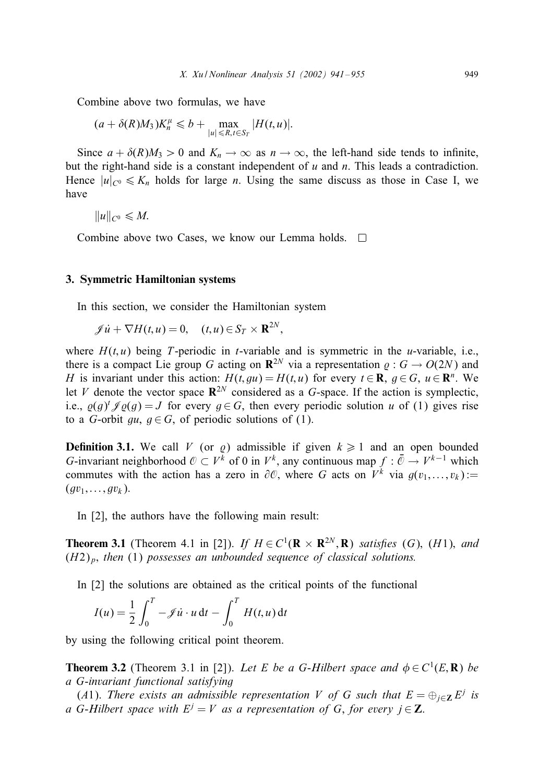Combine above two formulas, we have

$$
(a+\delta(R)M_3)K_n^{\mu} \leq b + \max_{|u| \leq R, t \in S_T} |H(t,u)|.
$$

Since  $a + \delta(R)M_3 > 0$  and  $K_n \to \infty$  as  $n \to \infty$ , the left-hand side tends to infinite, but the right-hand side is a constant independent of  $u$  and  $n$ . This leads a contradiction. Hence  $|u|_{C^0} \leq K_n$  holds for large n. Using the same discuss as those in Case I, we have

$$
||u||_{C^0}\leqslant M.
$$

Combine above two Cases, we know our Lemma holds. □

### 3. Symmetric Hamiltonian systems

In this section, we consider the Hamiltonian system

$$
\mathscr{J}\dot{u} + \nabla H(t, u) = 0, \quad (t, u) \in S_T \times \mathbf{R}^{2N},
$$

where  $H(t, u)$  being T-periodic in t-variable and is symmetric in the u-variable, i.e., there is a compact Lie group G acting on  $\mathbb{R}^{2N}$  via a representation  $\rho : G \to O(2N)$  and H is invariant under this action:  $H(t, gu) = H(t, u)$  for every  $t \in \mathbb{R}$ ,  $g \in G$ ,  $u \in \mathbb{R}^n$ . We let V denote the vector space  $\mathbb{R}^{2N}$  considered as a G-space. If the action is symplectic, i.e.,  $\varrho(g)^t \mathscr{J} \varrho(g) = J$  for every  $g \in G$ , then every periodic solution u of (1) gives rise to a G-orbit gu,  $q \in G$ , of periodic solutions of (1).

**Definition 3.1.** We call V (or  $\varrho$ ) admissible if given  $k \ge 1$  and an open bounded G-invariant neighborhood  $\mathcal{O} \subset V^k$  of 0 in  $V^k$ , any continuous map  $f : \bar{\mathcal{O}} \to V^{k-1}$  which commutes with the action has a zero in  $\partial\mathcal{O}$ , where G acts on  $V^k$  via  $g(v_1,...,v_k)$ :=  $(gv_1, \ldots, gv_k)$ .

In [2], the authors have the following main result:

**Theorem 3.1** (Theorem 4.1 in [2]). *If*  $H \in C^1(\mathbf{R} \times \mathbf{R}^{2N}, \mathbf{R})$  *satisfies* (G), (H1), *and* (H2)p; *then* (1) *possesses an unbounded sequence of classical solutions.*

In [2] the solutions are obtained as the critical points of the functional

$$
I(u) = \frac{1}{2} \int_0^T -\mathcal{J} \dot{u} \cdot u \, dt - \int_0^T H(t, u) \, dt
$$

by using the following critical point theorem.

**Theorem 3.2** (Theorem 3.1 in [2]). *Let E be a G-Hilbert space and*  $\phi \in C^1(E, \mathbf{R})$  *be a* G-*invariant functional satisfying*

(A1). *There exists an admissible representation* V of G such that  $E = \bigoplus_{i \in \mathbb{Z}} E^i$  is *a* G-Hilbert space with  $E^j = V$  *as a representation of* G, *for every*  $j \in \mathbb{Z}$ .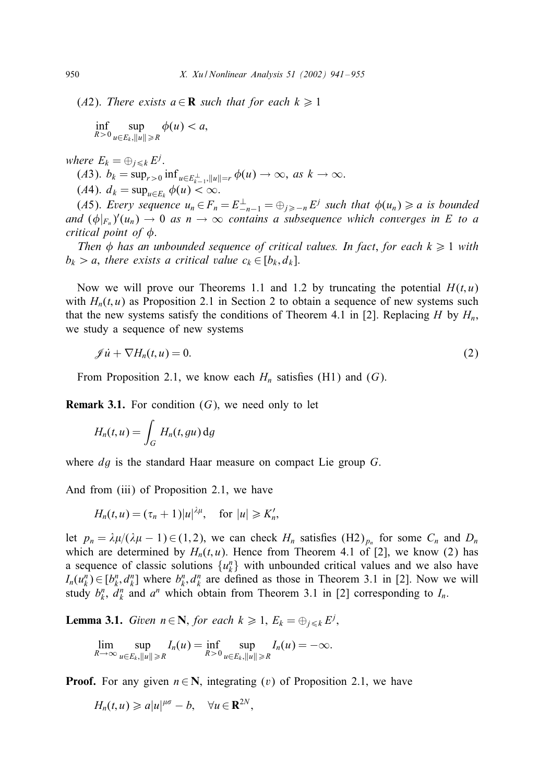(A2). There exists  $a \in \mathbb{R}$  such that for each  $k \geq 1$ 

$$
\inf_{R>0}\sup_{u\in E_k,||u||\geq R}\phi(u)
$$

*where*  $E_k = \bigoplus_{j \leq k} E^j$ .

(*A*3).  $b_k = \sup_{r>0} \inf_{u \in E_{k-1}^{\perp}, ||u|| = r} \phi(u) \to \infty$ , *as*  $k \to \infty$ .

(A4).  $d_k = \sup_{u \in E_k} \phi(u) < \infty$ .

(A5). *Every sequence*  $u_n \in F_n = E_{-n-1}^{\perp} = \bigoplus_{j \geq -n} E^j$  *such that*  $\phi(u_n) \geq a$  *is bounded and*  $(\phi|_{F_n})'(u_n) \to 0$  *as*  $n \to \infty$  *contains a subsequence which converges in* E *to a critical point of*  $\phi$ *.* 

*Then*  $\phi$  *has an unbounded sequence of critical values. In fact, for each*  $k \geq 1$  *with*  $b_k > a$ , there exists a critical value  $c_k \in [b_k, d_k]$ .

Now we will prove our Theorems 1.1 and 1.2 by truncating the potential  $H(t, u)$ with  $H_n(t, u)$  as Proposition 2.1 in Section 2 to obtain a sequence of new systems such that the new systems satisfy the conditions of Theorem 4.1 in [2]. Replacing H by  $H_n$ , we study a sequence of new systems

$$
\mathscr{J}\dot{u} + \nabla H_n(t, u) = 0. \tag{2}
$$

From Proposition 2.1, we know each  $H_n$  satisfies (H1) and (G).

**Remark 3.1.** For condition  $(G)$ , we need only to let

$$
H_n(t, u) = \int_G H_n(t, gu) \, dg
$$

where *dg* is the standard Haar measure on compact Lie group *G*.

And from (iii) of Proposition 2.1, we have

$$
H_n(t, u) = (\tau_n + 1)|u|^{\lambda \mu}, \quad \text{for } |u| \geqslant K'_n,
$$

let  $p_n = \lambda \mu/(\lambda \mu - 1) \in (1, 2)$ , we can check  $H_n$  satisfies  $(H_2)_{p_n}$  for some  $C_n$  and  $D_n$ which are determined by  $H_n(t, u)$ . Hence from Theorem 4.1 of [2], we know (2) has a sequence of classic solutions  $\{u_k^n\}$  with unbounded critical values and we also have  $I_n(u_k^n) \in [b_k^n, d_k^n]$  where  $b_k^n, d_k^n$  are defined as those in Theorem 3.1 in [2]. Now we will study  $b_k^n$ ,  $d_k^n$  and  $a^n$  which obtain from Theorem 3.1 in [2] corresponding to  $I_n$ .

**Lemma 3.1.** *Given*  $n \in \mathbb{N}$ , *for each*  $k \geq 1$ ,  $E_k = \bigoplus_{j \leq k} E^j$ ,

$$
\lim_{R\to\infty}\sup_{u\in E_k,||u||\geq R}I_n(u)=\inf_{R>0}\sup_{u\in E_k,||u||\geq R}I_n(u)=-\infty.
$$

**Proof.** For any given  $n \in \mathbb{N}$ , integrating (v) of Proposition 2.1, we have

$$
H_n(t,u)\geqslant a|u|^{\mu\sigma}-b,\quad \forall u\in\mathbf{R}^{2N},
$$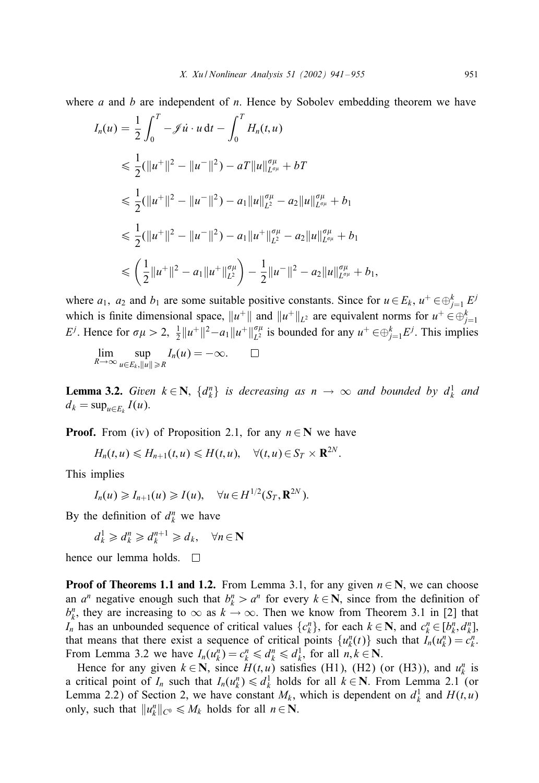where a and b are independent of n. Hence by Sobolev embedding theorem we have

$$
I_n(u) = \frac{1}{2} \int_0^T -\mathcal{J} \dot{u} \cdot u \, dt - \int_0^T H_n(t, u)
$$
  
\n
$$
\leq \frac{1}{2} (\|u^+\|^2 - \|u^-\|^2) - aT \|u\|_{L^{\sigma\mu}}^{\sigma\mu} + bT
$$
  
\n
$$
\leq \frac{1}{2} (\|u^+\|^2 - \|u^-\|^2) - a_1 \|u\|_{L^2}^{\sigma\mu} - a_2 \|u\|_{L^{\sigma\mu}}^{\sigma\mu} + b_1
$$
  
\n
$$
\leq \frac{1}{2} (\|u^+\|^2 - \|u^-\|^2) - a_1 \|u^+\|_{L^2}^{\sigma\mu} - a_2 \|u\|_{L^{\sigma\mu}}^{\sigma\mu} + b_1
$$
  
\n
$$
\leq \left(\frac{1}{2} \|u^+\|^2 - a_1 \|u^+\|_{L^2}^{\sigma\mu}\right) - \frac{1}{2} \|u^-\|^2 - a_2 \|u\|_{L^{\sigma\mu}}^{\sigma\mu} + b_1,
$$

where  $a_1$ ,  $a_2$  and  $b_1$  are some suitable positive constants. Since for  $u \in E_k$ ,  $u^+ \in \bigoplus_{j=1}^k E^j$ which is finite dimensional space,  $||u^+||$  and  $||u^+||_{L^2}$  are equivalent norms for  $u^+ \in \bigoplus_{j=1}^k$ E<sup>j</sup>. Hence for  $\sigma \mu > 2$ ,  $\frac{1}{2} ||u^+||^2 - a_1 ||u^+||_{L^2}^{\sigma \mu}$  is bounded for any  $u^+ \in \bigoplus_{j=1}^k E^j$ . This implies

$$
\lim_{R\to\infty}\sup_{u\in E_k,||u||\geq R}I_n(u)=-\infty.\qquad \Box
$$

**Lemma 3.2.** *Given*  $k \in \mathbb{N}$ ,  $\{d_k^n\}$  *is decreasing as*  $n \to \infty$  *and bounded by*  $d_k^1$  *and*  $d_k = \sup_{u \in E_k} I(u)$ .

**Proof.** From (iv) of Proposition 2.1, for any  $n \in \mathbb{N}$  we have

$$
H_n(t,u)\leq H_{n+1}(t,u)\leq H(t,u),\quad \forall (t,u)\in S_T\times \mathbf{R}^{2N}.
$$

This implies

$$
I_n(u) \geqslant I_{n+1}(u) \geqslant I(u), \quad \forall u \in H^{1/2}(S_T, \mathbf{R}^{2N}).
$$

By the definition of  $d_k^n$  we have

$$
d_k^1 \geq d_k^n \geq d_k^{n+1} \geq d_k, \quad \forall n \in \mathbb{N}
$$

hence our lemma holds.  $\square$ 

**Proof of Theorems 1.1 and 1.2.** From Lemma 3.1, for any given  $n \in \mathbb{N}$ , we can choose an  $a^n$  negative enough such that  $b_k^n > a^n$  for every  $k \in \mathbb{N}$ , since from the definition of  $b_k^n$ , they are increasing to  $\infty$  as  $k \to \infty$ . Then we know from Theorem 3.1 in [2] that  $I_n$  has an unbounded sequence of critical values  $\{c_k^n\}$ , for each  $k \in \mathbb{N}$ , and  $c_k^n \in [b_k^n, d_k^n]$ , that means that there exist a sequence of critical points  $\{u_k^n(t)\}\$  such that  $\bar{I}_n(u_k^n) = c_k^n$ . From Lemma 3.2 we have  $I_n(u_k^n) = c_k^n \leq d_k^n \leq d_k^1$ , for all  $n, k \in \mathbb{N}$ .

Hence for any given  $k \in \mathbb{N}$ , since  $H(t, u)$  satisfies (H1), (H2) (or (H3)), and  $u_k^n$  is a critical point of  $I_n$  such that  $I_n(u_k^n) \leq d_k^1$  holds for all  $k \in \mathbb{N}$ . From Lemma 2.1 (or Lemma 2.2) of Section 2, we have constant  $M_k$ , which is dependent on  $d_k^1$  and  $H(t, u)$ only, such that  $||u_k^n||_{C^0} \le M_k$  holds for all  $n \in \mathbb{N}$ .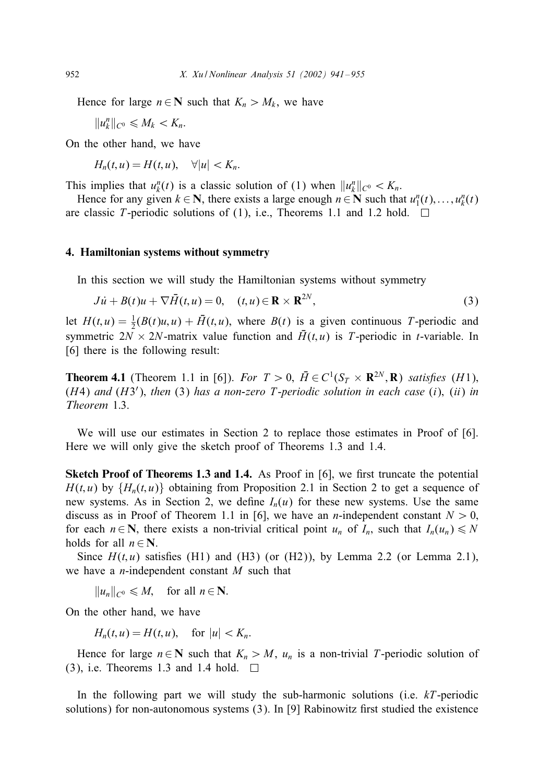Hence for large  $n \in \mathbb{N}$  such that  $K_n > M_k$ , we have

 $||u_k^n||_{C^0} \leq M_k < K_n.$ 

On the other hand, we have

 $H_n(t, u) = H(t, u), \quad \forall |u| < K_n.$ 

This implies that  $u_k^n(t)$  is a classic solution of (1) when  $||u_k^n||_{C^0} < K_n$ .

Hence for any given  $k \in \mathbb{N}$ , there exists a large enough  $n \in \mathbb{N}$  such that  $u_1^n(t),..., u_k^n(t)$ are classic T-periodic solutions of (1), i.e., Theorems 1.1 and 1.2 hold.  $\square$ 

#### 4. Hamiltonian systems without symmetry

In this section we will study the Hamiltonian systems without symmetry

$$
J\dot{u} + B(t)u + \nabla \bar{H}(t, u) = 0, \quad (t, u) \in \mathbf{R} \times \mathbf{R}^{2N},
$$
\n(3)

let  $H(t, u) = \frac{1}{2}(B(t)u, u) + \overline{H}(t, u)$ , where  $B(t)$  is a given continuous T-periodic and symmetric  $2N \times 2N$ -matrix value function and  $\bar{H}(t, u)$  is T-periodic in t-variable. In [6] there is the following result:

**Theorem 4.1** (Theorem 1.1 in [6]). *For*  $T > 0$ ,  $\overline{H} \in C^1(S_T \times \mathbb{R}^{2N}, \mathbb{R})$  *satisfies* (*H*1), (H4) *and* (H3 ); *then* (3) *has a non-zero* T-*periodic solution in each case* (i); (ii) *in Theorem* 1:3.

We will use our estimates in Section 2 to replace those estimates in Proof of [6]. Here we will only give the sketch proof of Theorems 1.3 and 1.4.

**Sketch Proof of Theorems 1.3 and 1.4.** As Proof in  $[6]$ , we first truncate the potential  $H(t, u)$  by  $\{H_n(t, u)\}$  obtaining from Proposition 2.1 in Section 2 to get a sequence of new systems. As in Section 2, we define  $I_n(u)$  for these new systems. Use the same discuss as in Proof of Theorem 1.1 in [6], we have an *n*-independent constant  $N > 0$ , for each  $n \in \mathbb{N}$ , there exists a non-trivial critical point  $u_n$  of  $I_n$ , such that  $I_n(u_n) \le N$ holds for all  $n \in \mathbb{N}$ .

Since  $H(t, u)$  satisfies (H1) and (H3) (or (H2)), by Lemma 2.2 (or Lemma 2.1), we have a *n*-independent constant  $M$  such that

 $||u_n||_{C^0} \leq M$ , for all  $n \in \mathbb{N}$ .

On the other hand, we have

 $H_n(t, u) = H(t, u)$ , for  $|u| < K_n$ .

Hence for large  $n \in \mathbb{N}$  such that  $K_n > M$ ,  $u_n$  is a non-trivial T-periodic solution of (3), i.e. Theorems 1.3 and 1.4 hold.  $\square$ 

In the following part we will study the sub-harmonic solutions (i.e.  $kT$ -periodic solutions) for non-autonomous systems  $(3)$ . In [9] Rabinowitz first studied the existence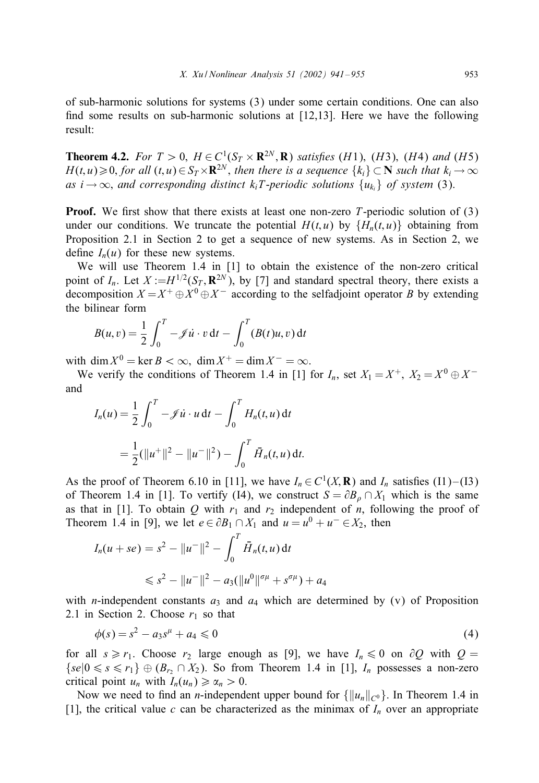of sub-harmonic solutions for systems (3) under some certain conditions. One can also find some results on sub-harmonic solutions at  $[12,13]$ . Here we have the following result:

**Theorem 4.2.** *For*  $T > 0$ ,  $H \in C^1(S_T \times \mathbf{R}^{2N}, \mathbf{R})$  *satisfies* (*H1)*, (*H3)*, (*H4) and* (*H5)*  $H(t, u) \geq 0$ , for all  $(t, u) \in S_T \times \mathbf{R}^{2N}$ , then there is a sequence  $\{k_i\} \subset \mathbf{N}$  such that  $k_i \to \infty$ *as*  $i \rightarrow \infty$ , *and corresponding distinct*  $k_i$ *T*-*periodic solutions*  $\{u_k\}$  *of system* (3).

**Proof.** We first show that there exists at least one non-zero T-periodic solution of  $(3)$ under our conditions. We truncate the potential  $H(t, u)$  by  $\{H_n(t, u)\}\$  obtaining from Proposition 2.1 in Section 2 to get a sequence of new systems. As in Section 2, we define  $I_n(u)$  for these new systems.

We will use Theorem 1.4 in [1] to obtain the existence of the non-zero critical point of  $I_n$ . Let  $X := H^{1/2}(S_T, \mathbf{R}^{2N})$ , by [7] and standard spectral theory, there exists a decomposition  $X = X^+ \oplus X^0 \oplus X^-$  according to the selfadjoint operator B by extending the bilinear form

$$
B(u,v) = \frac{1}{2} \int_0^T -\mathscr{J} \dot{u} \cdot v \, dt - \int_0^T (B(t)u, v) \, dt
$$

with dim  $X^0 = \ker B < \infty$ , dim  $X^+ = \dim X^- = \infty$ .

We verify the conditions of Theorem 1.4 in [1] for  $I_n$ , set  $X_1 = X^+$ ,  $X_2 = X^0 \oplus X^$ and

$$
I_n(u) = \frac{1}{2} \int_0^T -\mathcal{J} \dot{u} \cdot u \, dt - \int_0^T H_n(t, u) \, dt
$$
  
=  $\frac{1}{2} (\|u^+\|^2 - \|u^-\|^2) - \int_0^T \bar{H}_n(t, u) \, dt.$ 

As the proof of Theorem 6.10 in [11], we have  $I_n \in C^1(X, \mathbf{R})$  and  $I_n$  satisfies (I1)–(I3) of Theorem 1.4 in [1]. To vertify (I4), we construct  $S = \partial B_0 \cap X_1$  which is the same as that in [1]. To obtain Q with  $r_1$  and  $r_2$  independent of n, following the proof of Theorem 1.4 in [9], we let  $e \in \partial B_1 \cap X_1$  and  $u = u^0 + u^- \in X_2$ , then

$$
I_n(u+se) = s^2 - ||u^-||^2 - \int_0^T \bar{H}_n(t, u) dt
$$
  

$$
\leq s^2 - ||u^-||^2 - a_3(||u^0||^{\sigma \mu} + s^{\sigma \mu}) + a_4
$$

with *n*-independent constants  $a_3$  and  $a_4$  which are determined by (v) of Proposition 2.1 in Section 2. Choose  $r_1$  so that

$$
\phi(s) = s^2 - a_3 s^{\mu} + a_4 \leq 0 \tag{4}
$$

for all  $s \ge r_1$ . Choose  $r_2$  large enough as [9], we have  $I_n \le 0$  on  $\partial Q$  with  $Q =$  $\{se|0 \le s \le r_1\} \oplus (B_{r_2} \cap X_2)$ . So from Theorem 1.4 in [1],  $I_n$  possesses a non-zero critical point  $u_n$  with  $I_n(u_n) \ge \alpha_n > 0$ .

Now we need to find an *n*-independent upper bound for  $\{||u_n||_{C^0}\}$ . In Theorem 1.4 in [1], the critical value c can be characterized as the minimax of  $I_n$  over an appropriate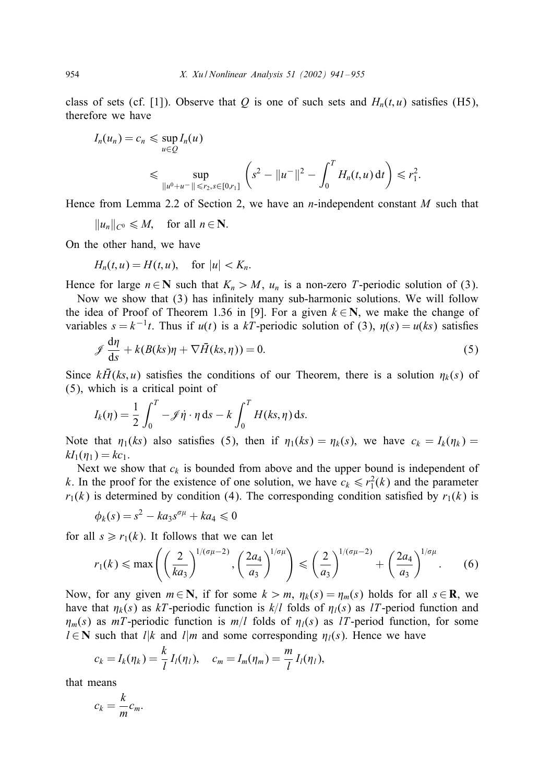class of sets (cf. [1]). Observe that Q is one of such sets and  $H_n(t, u)$  satisfies (H5), therefore we have

$$
I_n(u_n) = c_n \leq \sup_{u \in \mathcal{Q}} I_n(u)
$$
  
\$\leq\$ 
$$
\sup_{\|u^0 + u^-\| \leq r_2, s \in [0,r_1]} \left( s^2 - \|u^-\|^2 - \int_0^T H_n(t, u) dt \right) \leq r_1^2.
$$

Hence from Lemma 2.2 of Section 2, we have an *n*-independent constant M such that

 $||u_n||_{C^0} \leq M$ , for all  $n \in \mathbb{N}$ .

On the other hand, we have

$$
H_n(t, u) = H(t, u), \quad \text{for } |u| < K_n.
$$

Hence for large  $n \in \mathbb{N}$  such that  $K_n > M$ ,  $u_n$  is a non-zero T-periodic solution of (3).

Now we show that  $(3)$  has infinitely many sub-harmonic solutions. We will follow the idea of Proof of Theorem 1.36 in [9]. For a given  $k \in \mathbb{N}$ , we make the change of variables  $s = k^{-1}t$ . Thus if  $u(t)$  is a kT-periodic solution of (3),  $\eta(s) = u(ks)$  satisfies

$$
\mathcal{J}\frac{d\eta}{ds} + k(B(ks)\eta + \nabla \bar{H}(ks,\eta)) = 0.
$$
\n(5)

Since  $k\bar{H}(ks, u)$  satisfies the conditions of our Theorem, there is a solution  $\eta_k(s)$  of (5), which is a critical point of

$$
I_k(\eta) = \frac{1}{2} \int_0^T -\mathscr{J} \dot{\eta} \cdot \eta \, \mathrm{d} s - k \int_0^T H(ks, \eta) \, \mathrm{d} s.
$$

Note that  $\eta_1(ks)$  also satisfies (5), then if  $\eta_1(ks) = \eta_k(s)$ , we have  $c_k = I_k(\eta_k) =$  $kI_1(\eta_1) = kc_1.$ 

Next we show that  $c_k$  is bounded from above and the upper bound is independent of k. In the proof for the existence of one solution, we have  $c_k \le r_1^2(k)$  and the parameter  $r_1(k)$  is determined by condition (4). The corresponding condition satisfied by  $r_1(k)$  is

$$
\phi_k(s) = s^2 - ka_3 s^{\sigma \mu} + ka_4 \leq 0
$$

for all  $s \ge r_1(k)$ . It follows that we can let

$$
r_1(k) \le \max\left(\left(\frac{2}{ka_3}\right)^{1/(\sigma\mu-2)}, \left(\frac{2a_4}{a_3}\right)^{1/\sigma\mu}\right) \le \left(\frac{2}{a_3}\right)^{1/(\sigma\mu-2)} + \left(\frac{2a_4}{a_3}\right)^{1/\sigma\mu}.\tag{6}
$$

Now, for any given  $m \in \mathbb{N}$ , if for some  $k > m$ ,  $\eta_k(s) = \eta_m(s)$  holds for all  $s \in \mathbb{R}$ , we have that  $\eta_k(s)$  as kT-periodic function is  $k/l$  folds of  $\eta_l(s)$  as lT-period function and  $\eta_m(s)$  as mT-periodic function is  $m/l$  folds of  $\eta_l(s)$  as lT-period function, for some  $l \in \mathbb{N}$  such that  $l|k$  and  $l|m$  and some corresponding  $\eta_l(s)$ . Hence we have

$$
c_k = I_k(\eta_k) = \frac{k}{l} I_l(\eta_l), \quad c_m = I_m(\eta_m) = \frac{m}{l} I_l(\eta_l),
$$

that means

$$
c_k = \frac{k}{m}c_m.
$$